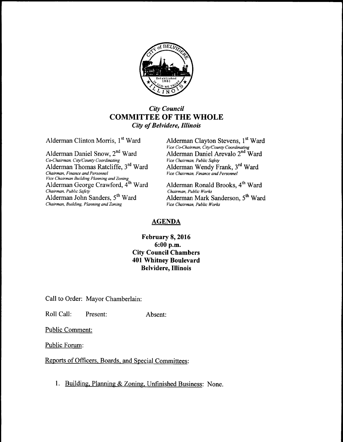

## City Council COMMITTEE OF THE WHOLE City of Belvidere, Illinois

Alderman Daniel Snow, 2<sup>nd</sup> Ward Co-Chairman, City/County Coordinating Alderman Thomas Ratcliffe, 3<sup>rd</sup> Ward Chairman, Finance and Personnel <sup>vice Chairman Building Planning and Zoning<br>Alderman George Crawford, 4<sup>th</sup> Ward Alderman Ronald Brooks, 4<sup>th</sup> Ward</sup> Chairman, Public Safety<br>
Alderman John Sanders, 5<sup>th</sup> Ward<br>
Alderman Mark S  $Chairman, Building, Planning and Zoning$ 

Alderman Clinton Morris, 1<sup>st</sup> Ward Alderman Clayton Stevens, 1<sup>st</sup> Ward Vice Co-Chairman, City/County Coordinating Alderman Daniel Arevalo 2<sup>nd</sup> Ward<br>Vice Chairman, Public Safety Ward Alderman Wendy Frank, 3<sup>rd</sup> Ward Vice Chairman, Finance and Personnel

Alderman Mark Sanderson, 5<sup>th</sup> Ward Vice Chairman. Public Works

## AGENDA

## February 8, 2016 6: 00 p.m. City Council Chambers 401 Whitney Boulevard Belvidere, Illinois

Call to Order: Mayor Chamberlain:

Roll Call: Present: Absent:

Public Comment:

Public Forum:

Reports of Officers, Boards, and Special Committees:

1. Building, Planning& Zoning, Unfinished Business: None.